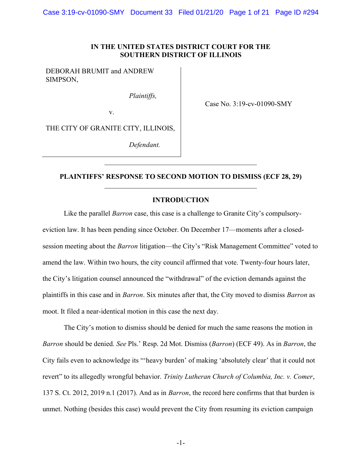### IN THE UNITED STATES DISTRICT COURT FOR THE SOUTHERN DISTRICT OF ILLINOIS

DEBORAH BRUMIT and ANDREW SIMPSON,

Plaintiffs,

Case No. 3:19-cv-01090-SMY

THE CITY OF GRANITE CITY, ILLINOIS,

v.

Defendant.

# PLAINTIFFS' RESPONSE TO SECOND MOTION TO DISMISS (ECF 28, 29)

#### INTRODUCTION

Like the parallel *Barron* case, this case is a challenge to Granite City's compulsoryeviction law. It has been pending since October. On December 17—moments after a closedsession meeting about the Barron litigation—the City's "Risk Management Committee" voted to amend the law. Within two hours, the city council affirmed that vote. Twenty-four hours later, the City's litigation counsel announced the "withdrawal" of the eviction demands against the plaintiffs in this case and in Barron. Six minutes after that, the City moved to dismiss Barron as moot. It filed a near-identical motion in this case the next day.

The City's motion to dismiss should be denied for much the same reasons the motion in Barron should be denied. See Pls.' Resp. 2d Mot. Dismiss (Barron) (ECF 49). As in Barron, the City fails even to acknowledge its "'heavy burden' of making 'absolutely clear' that it could not revert" to its allegedly wrongful behavior. Trinity Lutheran Church of Columbia, Inc. v. Comer, 137 S. Ct. 2012, 2019 n.1 (2017). And as in Barron, the record here confirms that that burden is unmet. Nothing (besides this case) would prevent the City from resuming its eviction campaign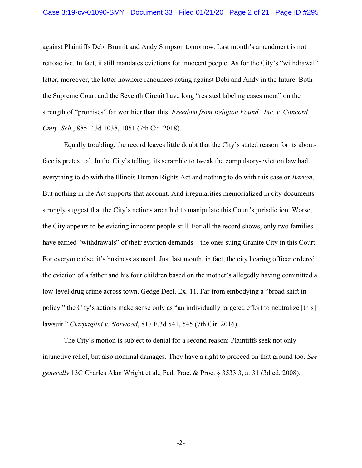#### Case 3:19-cv-01090-SMY Document 33 Filed 01/21/20 Page 2 of 21 Page ID #295

against Plaintiffs Debi Brumit and Andy Simpson tomorrow. Last month's amendment is not retroactive. In fact, it still mandates evictions for innocent people. As for the City's "withdrawal" letter, moreover, the letter nowhere renounces acting against Debi and Andy in the future. Both the Supreme Court and the Seventh Circuit have long "resisted labeling cases moot" on the strength of "promises" far worthier than this. Freedom from Religion Found., Inc. v. Concord Cmty. Sch., 885 F.3d 1038, 1051 (7th Cir. 2018).

Equally troubling, the record leaves little doubt that the City's stated reason for its aboutface is pretextual. In the City's telling, its scramble to tweak the compulsory-eviction law had everything to do with the Illinois Human Rights Act and nothing to do with this case or *Barron*. But nothing in the Act supports that account. And irregularities memorialized in city documents strongly suggest that the City's actions are a bid to manipulate this Court's jurisdiction. Worse, the City appears to be evicting innocent people still. For all the record shows, only two families have earned "withdrawals" of their eviction demands—the ones suing Granite City in this Court. For everyone else, it's business as usual. Just last month, in fact, the city hearing officer ordered the eviction of a father and his four children based on the mother's allegedly having committed a low-level drug crime across town. Gedge Decl. Ex. 11. Far from embodying a "broad shift in policy," the City's actions make sense only as "an individually targeted effort to neutralize [this] lawsuit." Ciarpaglini v. Norwood, 817 F.3d 541, 545 (7th Cir. 2016).

 The City's motion is subject to denial for a second reason: Plaintiffs seek not only injunctive relief, but also nominal damages. They have a right to proceed on that ground too. See generally 13C Charles Alan Wright et al., Fed. Prac. & Proc. § 3533.3, at 31 (3d ed. 2008).

-2-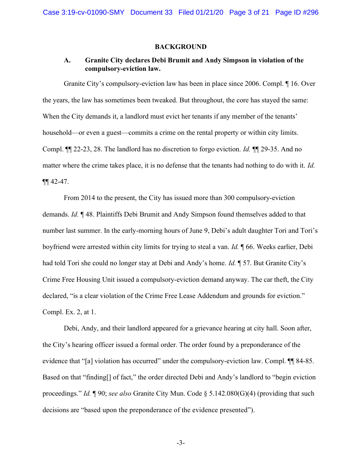#### BACKGROUND

# A. Granite City declares Debi Brumit and Andy Simpson in violation of the compulsory-eviction law.

Granite City's compulsory-eviction law has been in place since 2006. Compl. ¶ 16. Over the years, the law has sometimes been tweaked. But throughout, the core has stayed the same: When the City demands it, a landlord must evict her tenants if any member of the tenants' household—or even a guest—commits a crime on the rental property or within city limits. Compl. ¶¶ 22-23, 28. The landlord has no discretion to forgo eviction. Id. ¶¶ 29-35. And no matter where the crime takes place, it is no defense that the tenants had nothing to do with it. Id.  $\P\P$  42-47.

From 2014 to the present, the City has issued more than 300 compulsory-eviction demands. Id. ¶ 48. Plaintiffs Debi Brumit and Andy Simpson found themselves added to that number last summer. In the early-morning hours of June 9, Debi's adult daughter Tori and Tori's boyfriend were arrested within city limits for trying to steal a van. Id. ¶ 66. Weeks earlier, Debi had told Tori she could no longer stay at Debi and Andy's home. Id. ¶ 57. But Granite City's Crime Free Housing Unit issued a compulsory-eviction demand anyway. The car theft, the City declared, "is a clear violation of the Crime Free Lease Addendum and grounds for eviction." Compl. Ex. 2, at 1.

Debi, Andy, and their landlord appeared for a grievance hearing at city hall. Soon after, the City's hearing officer issued a formal order. The order found by a preponderance of the evidence that "[a] violation has occurred" under the compulsory-eviction law. Compl.  $\P\P$  84-85. Based on that "finding<sup>[]</sup> of fact," the order directed Debi and Andy's landlord to "begin eviction" proceedings." Id.  $\P$  90; see also Granite City Mun. Code § 5.142.080(G)(4) (providing that such decisions are "based upon the preponderance of the evidence presented").

-3-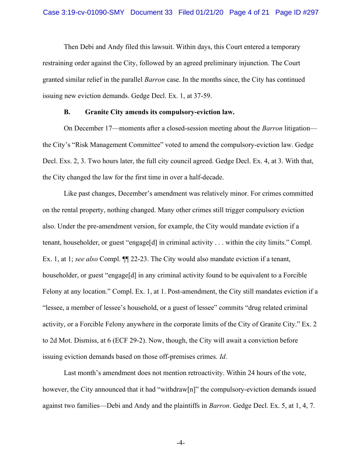Then Debi and Andy filed this lawsuit. Within days, this Court entered a temporary restraining order against the City, followed by an agreed preliminary injunction. The Court granted similar relief in the parallel Barron case. In the months since, the City has continued issuing new eviction demands. Gedge Decl. Ex. 1, at 37-59.

#### B. Granite City amends its compulsory-eviction law.

On December 17—moments after a closed-session meeting about the *Barron* litigation the City's "Risk Management Committee" voted to amend the compulsory-eviction law. Gedge Decl. Exs. 2, 3. Two hours later, the full city council agreed. Gedge Decl. Ex. 4, at 3. With that, the City changed the law for the first time in over a half-decade.

Like past changes, December's amendment was relatively minor. For crimes committed on the rental property, nothing changed. Many other crimes still trigger compulsory eviction also. Under the pre-amendment version, for example, the City would mandate eviction if a tenant, householder, or guest "engage[d] in criminal activity . . . within the city limits." Compl. Ex. 1, at 1; see also Compl.  $\P$ [22-23. The City would also mandate eviction if a tenant, householder, or guest "engage<sup>[d]</sup> in any criminal activity found to be equivalent to a Forcible Felony at any location." Compl. Ex. 1, at 1. Post-amendment, the City still mandates eviction if a "lessee, a member of lessee's household, or a guest of lessee" commits "drug related criminal activity, or a Forcible Felony anywhere in the corporate limits of the City of Granite City." Ex. 2 to 2d Mot. Dismiss, at 6 (ECF 29-2). Now, though, the City will await a conviction before issuing eviction demands based on those off-premises crimes. Id.

Last month's amendment does not mention retroactivity. Within 24 hours of the vote, however, the City announced that it had "withdraw[n]" the compulsory-eviction demands issued against two families—Debi and Andy and the plaintiffs in Barron. Gedge Decl. Ex. 5, at 1, 4, 7.

-4-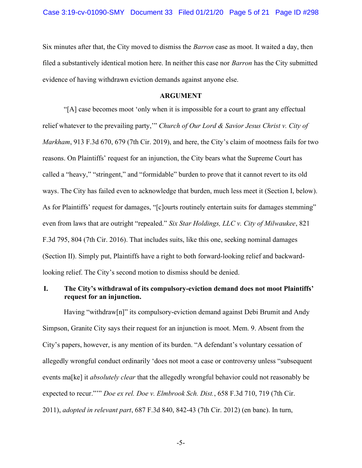Six minutes after that, the City moved to dismiss the Barron case as moot. It waited a day, then filed a substantively identical motion here. In neither this case nor Barron has the City submitted evidence of having withdrawn eviction demands against anyone else.

### ARGUMENT

"[A] case becomes moot 'only when it is impossible for a court to grant any effectual relief whatever to the prevailing party," Church of Our Lord & Savior Jesus Christ v. City of Markham, 913 F.3d 670, 679 (7th Cir. 2019), and here, the City's claim of mootness fails for two reasons. On Plaintiffs' request for an injunction, the City bears what the Supreme Court has called a "heavy," "stringent," and "formidable" burden to prove that it cannot revert to its old ways. The City has failed even to acknowledge that burden, much less meet it (Section I, below). As for Plaintiffs' request for damages, "[c]ourts routinely entertain suits for damages stemming" even from laws that are outright "repealed." Six Star Holdings, LLC v. City of Milwaukee, 821 F.3d 795, 804 (7th Cir. 2016). That includes suits, like this one, seeking nominal damages (Section II). Simply put, Plaintiffs have a right to both forward-looking relief and backwardlooking relief. The City's second motion to dismiss should be denied.

# I. The City's withdrawal of its compulsory-eviction demand does not moot Plaintiffs' request for an injunction.

Having "withdraw[n]" its compulsory-eviction demand against Debi Brumit and Andy Simpson, Granite City says their request for an injunction is moot. Mem. 9. Absent from the City's papers, however, is any mention of its burden. "A defendant's voluntary cessation of allegedly wrongful conduct ordinarily 'does not moot a case or controversy unless "subsequent events ma<sup>[ke]</sup> it *absolutely clear* that the allegedly wrongful behavior could not reasonably be expected to recur.""" Doe ex rel. Doe v. Elmbrook Sch. Dist., 658 F.3d 710, 719 (7th Cir. 2011), adopted in relevant part, 687 F.3d 840, 842-43 (7th Cir. 2012) (en banc). In turn,

-5-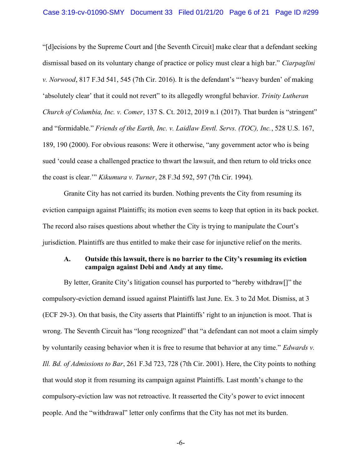"[d]ecisions by the Supreme Court and [the Seventh Circuit] make clear that a defendant seeking dismissal based on its voluntary change of practice or policy must clear a high bar." Ciarpaglini v. Norwood, 817 F.3d 541, 545 (7th Cir. 2016). It is the defendant's "'heavy burden' of making 'absolutely clear' that it could not revert" to its allegedly wrongful behavior. Trinity Lutheran Church of Columbia, Inc. v. Comer, 137 S. Ct. 2012, 2019 n.1 (2017). That burden is "stringent" and "formidable." Friends of the Earth, Inc. v. Laidlaw Envtl. Servs. (TOC), Inc., 528 U.S. 167, 189, 190 (2000). For obvious reasons: Were it otherwise, "any government actor who is being sued 'could cease a challenged practice to thwart the lawsuit, and then return to old tricks once the coast is clear.'" Kikumura v. Turner, 28 F.3d 592, 597 (7th Cir. 1994).

 Granite City has not carried its burden. Nothing prevents the City from resuming its eviction campaign against Plaintiffs; its motion even seems to keep that option in its back pocket. The record also raises questions about whether the City is trying to manipulate the Court's jurisdiction. Plaintiffs are thus entitled to make their case for injunctive relief on the merits.

# A. Outside this lawsuit, there is no barrier to the City's resuming its eviction campaign against Debi and Andy at any time.

By letter, Granite City's litigation counsel has purported to "hereby withdraw[]" the compulsory-eviction demand issued against Plaintiffs last June. Ex. 3 to 2d Mot. Dismiss, at 3 (ECF 29-3). On that basis, the City asserts that Plaintiffs' right to an injunction is moot. That is wrong. The Seventh Circuit has "long recognized" that "a defendant can not moot a claim simply by voluntarily ceasing behavior when it is free to resume that behavior at any time." Edwards v. Ill. Bd. of Admissions to Bar, 261 F.3d 723, 728 (7th Cir. 2001). Here, the City points to nothing that would stop it from resuming its campaign against Plaintiffs. Last month's change to the compulsory-eviction law was not retroactive. It reasserted the City's power to evict innocent people. And the "withdrawal" letter only confirms that the City has not met its burden.

-6-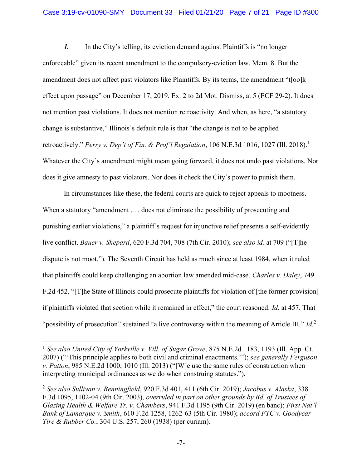1. In the City's telling, its eviction demand against Plaintiffs is "no longer enforceable" given its recent amendment to the compulsory-eviction law. Mem. 8. But the amendment does not affect past violators like Plaintiffs. By its terms, the amendment "t[oo]k effect upon passage" on December 17, 2019. Ex. 2 to 2d Mot. Dismiss, at 5 (ECF 29-2). It does not mention past violations. It does not mention retroactivity. And when, as here, "a statutory change is substantive," Illinois's default rule is that "the change is not to be applied retroactively." Perry v. Dep't of Fin. & Prof'l Regulation, 106 N.E.3d 1016, 1027 (Ill. 2018).<sup>1</sup> Whatever the City's amendment might mean going forward, it does not undo past violations. Nor does it give amnesty to past violators. Nor does it check the City's power to punish them.

In circumstances like these, the federal courts are quick to reject appeals to mootness. When a statutory "amendment . . . does not eliminate the possibility of prosecuting and punishing earlier violations," a plaintiff's request for injunctive relief presents a self-evidently live conflict. Bauer v. Shepard, 620 F.3d 704, 708 (7th Cir. 2010); see also id. at 709 ("The dispute is not moot."). The Seventh Circuit has held as much since at least 1984, when it ruled that plaintiffs could keep challenging an abortion law amended mid-case. Charles v. Daley, 749 F.2d 452. "[T]he State of Illinois could prosecute plaintiffs for violation of [the former provision] if plaintiffs violated that section while it remained in effect," the court reasoned. Id. at 457. That "possibility of prosecution" sustained "a live controversy within the meaning of Article III."  $Id$ <sup>2</sup>

 $<sup>1</sup>$  See also United City of Yorkville v. Vill. of Sugar Grove, 875 N.E.2d 1183, 1193 (Ill. App. Ct.</sup> 2007) ("This principle applies to both civil and criminal enactments.""); see generally Ferguson v. Patton, 985 N.E.2d 1000, 1010 (Ill. 2013) ("[W]e use the same rules of construction when interpreting municipal ordinances as we do when construing statutes.").

<sup>&</sup>lt;sup>2</sup> See also Sullivan v. Benningfield, 920 F.3d 401, 411 (6th Cir. 2019); Jacobus v. Alaska, 338 F.3d 1095, 1102-04 (9th Cir. 2003), overruled in part on other grounds by Bd. of Trustees of Glazing Health & Welfare Tr. v. Chambers, 941 F.3d 1195 (9th Cir. 2019) (en banc); First Nat'l Bank of Lamarque v. Smith, 610 F.2d 1258, 1262-63 (5th Cir. 1980); accord FTC v. Goodyear Tire & Rubber Co., 304 U.S. 257, 260 (1938) (per curiam).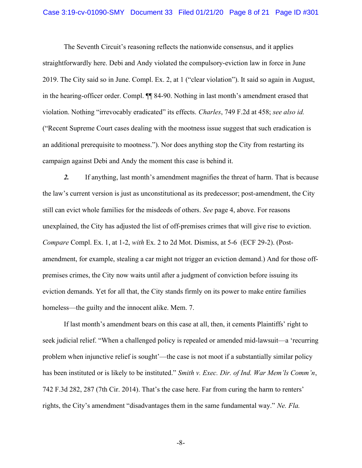#### Case 3:19-cv-01090-SMY Document 33 Filed 01/21/20 Page 8 of 21 Page ID #301

The Seventh Circuit's reasoning reflects the nationwide consensus, and it applies straightforwardly here. Debi and Andy violated the compulsory-eviction law in force in June 2019. The City said so in June. Compl. Ex. 2, at 1 ("clear violation"). It said so again in August, in the hearing-officer order. Compl. ¶¶ 84-90. Nothing in last month's amendment erased that violation. Nothing "irrevocably eradicated" its effects. Charles, 749 F.2d at 458; see also id. ("Recent Supreme Court cases dealing with the mootness issue suggest that such eradication is an additional prerequisite to mootness."). Nor does anything stop the City from restarting its campaign against Debi and Andy the moment this case is behind it.

2. If anything, last month's amendment magnifies the threat of harm. That is because the law's current version is just as unconstitutional as its predecessor; post-amendment, the City still can evict whole families for the misdeeds of others. See page 4, above. For reasons unexplained, the City has adjusted the list of off-premises crimes that will give rise to eviction. Compare Compl. Ex. 1, at 1-2, with Ex. 2 to 2d Mot. Dismiss, at 5-6 (ECF 29-2). (Postamendment, for example, stealing a car might not trigger an eviction demand.) And for those offpremises crimes, the City now waits until after a judgment of conviction before issuing its eviction demands. Yet for all that, the City stands firmly on its power to make entire families homeless—the guilty and the innocent alike. Mem. 7.

If last month's amendment bears on this case at all, then, it cements Plaintiffs' right to seek judicial relief. "When a challenged policy is repealed or amended mid-lawsuit—a 'recurring problem when injunctive relief is sought'—the case is not moot if a substantially similar policy has been instituted or is likely to be instituted." Smith v. Exec. Dir. of Ind. War Mem'ls Comm'n, 742 F.3d 282, 287 (7th Cir. 2014). That's the case here. Far from curing the harm to renters' rights, the City's amendment "disadvantages them in the same fundamental way." Ne. Fla.

-8-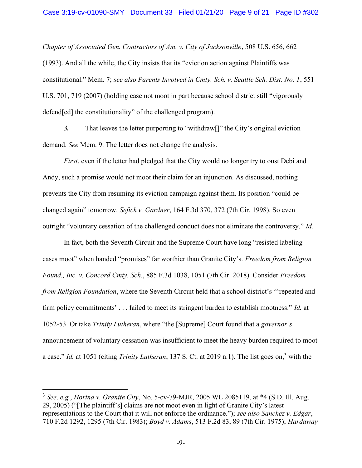Chapter of Associated Gen. Contractors of Am. v. City of Jacksonville, 508 U.S. 656, 662 (1993). And all the while, the City insists that its "eviction action against Plaintiffs was constitutional." Mem. 7; see also Parents Involved in Cmty. Sch. v. Seattle Sch. Dist. No. 1, 551 U.S. 701, 719 (2007) (holding case not moot in part because school district still "vigorously defend[ed] the constitutionality" of the challenged program).

3. That leaves the letter purporting to "withdraw[]" the City's original eviction demand. See Mem. 9. The letter does not change the analysis.

First, even if the letter had pledged that the City would no longer try to oust Debi and Andy, such a promise would not moot their claim for an injunction. As discussed, nothing prevents the City from resuming its eviction campaign against them. Its position "could be changed again" tomorrow. Sefick v. Gardner, 164 F.3d 370, 372 (7th Cir. 1998). So even outright "voluntary cessation of the challenged conduct does not eliminate the controversy." Id.

In fact, both the Seventh Circuit and the Supreme Court have long "resisted labeling cases moot" when handed "promises" far worthier than Granite City's. Freedom from Religion Found., Inc. v. Concord Cmty. Sch., 885 F.3d 1038, 1051 (7th Cir. 2018). Consider Freedom from Religion Foundation, where the Seventh Circuit held that a school district's "'repeated and firm policy commitments' . . . failed to meet its stringent burden to establish mootness." Id. at 1052-53. Or take Trinity Lutheran, where "the [Supreme] Court found that a governor's announcement of voluntary cessation was insufficient to meet the heavy burden required to moot a case." *Id.* at 1051 (citing *Trinity Lutheran*, 137 S. Ct. at 2019 n.1). The list goes on,<sup>3</sup> with the

 $3$  See, e.g., Horina v. Granite City, No. 5-cv-79-MJR, 2005 WL 2085119, at  $*4$  (S.D. Ill. Aug. 29, 2005) ("[The plaintiff's] claims are not moot even in light of Granite City's latest representations to the Court that it will not enforce the ordinance."); see also Sanchez v. Edgar, 710 F.2d 1292, 1295 (7th Cir. 1983); Boyd v. Adams, 513 F.2d 83, 89 (7th Cir. 1975); Hardaway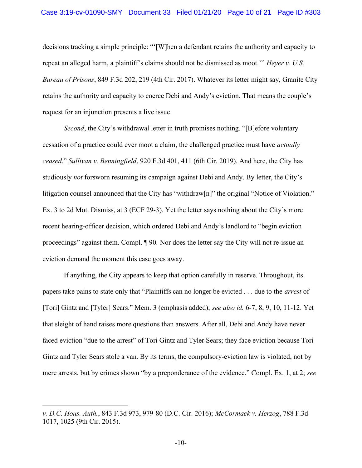#### Case 3:19-cv-01090-SMY Document 33 Filed 01/21/20 Page 10 of 21 Page ID #303

decisions tracking a simple principle: "'[W]hen a defendant retains the authority and capacity to repeat an alleged harm, a plaintiff's claims should not be dismissed as moot.'" Heyer v. U.S. Bureau of Prisons, 849 F.3d 202, 219 (4th Cir. 2017). Whatever its letter might say, Granite City retains the authority and capacity to coerce Debi and Andy's eviction. That means the couple's request for an injunction presents a live issue.

Second, the City's withdrawal letter in truth promises nothing. "[B]efore voluntary cessation of a practice could ever moot a claim, the challenged practice must have actually ceased." Sullivan v. Benningfield, 920 F.3d 401, 411 (6th Cir. 2019). And here, the City has studiously not forsworn resuming its campaign against Debi and Andy. By letter, the City's litigation counsel announced that the City has "withdraw[n]" the original "Notice of Violation." Ex. 3 to 2d Mot. Dismiss, at 3 (ECF 29-3). Yet the letter says nothing about the City's more recent hearing-officer decision, which ordered Debi and Andy's landlord to "begin eviction proceedings" against them. Compl. ¶ 90. Nor does the letter say the City will not re-issue an eviction demand the moment this case goes away.

If anything, the City appears to keep that option carefully in reserve. Throughout, its papers take pains to state only that "Plaintiffs can no longer be evicted . . . due to the arrest of [Tori] Gintz and [Tyler] Sears." Mem. 3 (emphasis added); see also id. 6-7, 8, 9, 10, 11-12. Yet that sleight of hand raises more questions than answers. After all, Debi and Andy have never faced eviction "due to the arrest" of Tori Gintz and Tyler Sears; they face eviction because Tori Gintz and Tyler Sears stole a van. By its terms, the compulsory-eviction law is violated, not by mere arrests, but by crimes shown "by a preponderance of the evidence." Compl. Ex. 1, at 2; see

v. D.C. Hous. Auth., 843 F.3d 973, 979-80 (D.C. Cir. 2016); McCormack v. Herzog, 788 F.3d 1017, 1025 (9th Cir. 2015).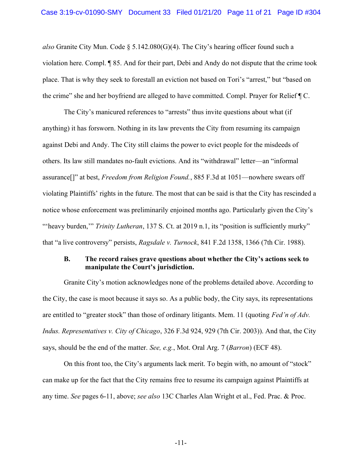also Granite City Mun. Code  $\S 5.142.080(G)(4)$ . The City's hearing officer found such a violation here. Compl. ¶ 85. And for their part, Debi and Andy do not dispute that the crime took place. That is why they seek to forestall an eviction not based on Tori's "arrest," but "based on the crime" she and her boyfriend are alleged to have committed. Compl. Prayer for Relief ¶ C.

The City's manicured references to "arrests" thus invite questions about what (if anything) it has forsworn. Nothing in its law prevents the City from resuming its campaign against Debi and Andy. The City still claims the power to evict people for the misdeeds of others. Its law still mandates no-fault evictions. And its "withdrawal" letter—an "informal assurance[]" at best, Freedom from Religion Found., 885 F.3d at 1051—nowhere swears off violating Plaintiffs' rights in the future. The most that can be said is that the City has rescinded a notice whose enforcement was preliminarily enjoined months ago. Particularly given the City's "'heavy burden," Trinity Lutheran, 137 S. Ct. at 2019 n.1, its "position is sufficiently murky" that "a live controversy" persists, Ragsdale v. Turnock, 841 F.2d 1358, 1366 (7th Cir. 1988).

### B. The record raises grave questions about whether the City's actions seek to manipulate the Court's jurisdiction.

Granite City's motion acknowledges none of the problems detailed above. According to the City, the case is moot because it says so. As a public body, the City says, its representations are entitled to "greater stock" than those of ordinary litigants. Mem. 11 (quoting Fed'n of Adv. Indus. Representatives v. City of Chicago, 326 F.3d 924, 929 (7th Cir. 2003)). And that, the City says, should be the end of the matter. See, e.g., Mot. Oral Arg. 7 (Barron) (ECF 48).

On this front too, the City's arguments lack merit. To begin with, no amount of "stock" can make up for the fact that the City remains free to resume its campaign against Plaintiffs at any time. See pages 6-11, above; see also 13C Charles Alan Wright et al., Fed. Prac. & Proc.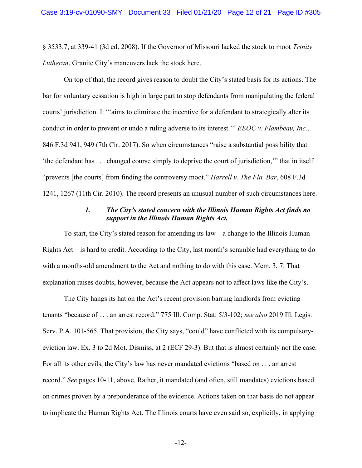§ 3533.7, at 339-41 (3d ed. 2008). If the Governor of Missouri lacked the stock to moot Trinity Lutheran, Granite City's maneuvers lack the stock here.

On top of that, the record gives reason to doubt the City's stated basis for its actions. The bar for voluntary cessation is high in large part to stop defendants from manipulating the federal courts' jurisdiction. It "'aims to eliminate the incentive for a defendant to strategically alter its conduct in order to prevent or undo a ruling adverse to its interest." EEOC v. Flambeau, Inc., 846 F.3d 941, 949 (7th Cir. 2017). So when circumstances "raise a substantial possibility that 'the defendant has . . . changed course simply to deprive the court of jurisdiction,'" that in itself "prevents [the courts] from finding the controversy moot." *Harrell v. The Fla. Bar*, 608 F.3d 1241, 1267 (11th Cir. 2010). The record presents an unusual number of such circumstances here.

### 1. The City's stated concern with the Illinois Human Rights Act finds no support in the Illinois Human Rights Act.

To start, the City's stated reason for amending its law—a change to the Illinois Human Rights Act—is hard to credit. According to the City, last month's scramble had everything to do with a months-old amendment to the Act and nothing to do with this case. Mem. 3, 7. That explanation raises doubts, however, because the Act appears not to affect laws like the City's.

The City hangs its hat on the Act's recent provision barring landlords from evicting tenants "because of . . . an arrest record." 775 Ill. Comp. Stat. 5/3-102; see also 2019 Ill. Legis. Serv. P.A. 101-565. That provision, the City says, "could" have conflicted with its compulsoryeviction law. Ex. 3 to 2d Mot. Dismiss, at 2 (ECF 29-3). But that is almost certainly not the case. For all its other evils, the City's law has never mandated evictions "based on . . . an arrest record." See pages 10-11, above. Rather, it mandated (and often, still mandates) evictions based on crimes proven by a preponderance of the evidence. Actions taken on that basis do not appear to implicate the Human Rights Act. The Illinois courts have even said so, explicitly, in applying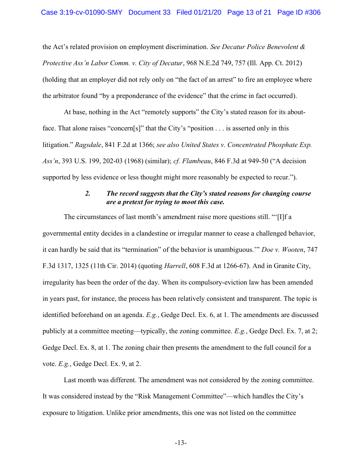the Act's related provision on employment discrimination. See Decatur Police Benevolent  $\&$ Protective Ass'n Labor Comm. v. City of Decatur, 968 N.E.2d 749, 757 (Ill. App. Ct. 2012) (holding that an employer did not rely only on "the fact of an arrest" to fire an employee where the arbitrator found "by a preponderance of the evidence" that the crime in fact occurred).

At base, nothing in the Act "remotely supports" the City's stated reason for its aboutface. That alone raises "concern[s]" that the City's "position . . . is asserted only in this litigation." Ragsdale, 841 F.2d at 1366; see also United States v. Concentrated Phosphate Exp. Ass'n, 393 U.S. 199, 202-03 (1968) (similar); cf. Flambeau, 846 F.3d at 949-50 ("A decision supported by less evidence or less thought might more reasonably be expected to recur.").

### 2. The record suggests that the City's stated reasons for changing course are a pretext for trying to moot this case.

The circumstances of last month's amendment raise more questions still. "'[I]f a governmental entity decides in a clandestine or irregular manner to cease a challenged behavior, it can hardly be said that its "termination" of the behavior is unambiguous.'" Doe v. Wooten, 747 F.3d 1317, 1325 (11th Cir. 2014) (quoting Harrell, 608 F.3d at 1266-67). And in Granite City, irregularity has been the order of the day. When its compulsory-eviction law has been amended in years past, for instance, the process has been relatively consistent and transparent. The topic is identified beforehand on an agenda. E.g., Gedge Decl. Ex. 6, at 1. The amendments are discussed publicly at a committee meeting—typically, the zoning committee. E.g., Gedge Decl. Ex. 7, at 2; Gedge Decl. Ex. 8, at 1. The zoning chair then presents the amendment to the full council for a vote. E.g., Gedge Decl. Ex. 9, at 2.

 Last month was different. The amendment was not considered by the zoning committee. It was considered instead by the "Risk Management Committee"—which handles the City's exposure to litigation. Unlike prior amendments, this one was not listed on the committee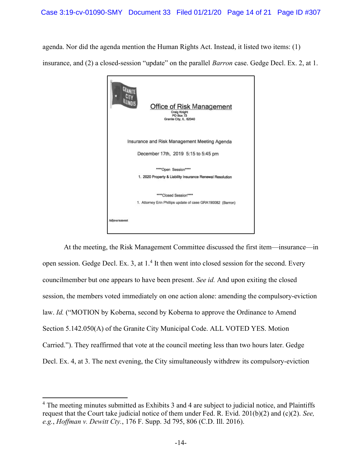agenda. Nor did the agenda mention the Human Rights Act. Instead, it listed two items: (1) insurance, and (2) a closed-session "update" on the parallel Barron case. Gedge Decl. Ex. 2, at 1.



At the meeting, the Risk Management Committee discussed the first item—insurance—in open session. Gedge Decl. Ex. 3, at 1.<sup>4</sup> It then went into closed session for the second. Every councilmember but one appears to have been present. See id. And upon exiting the closed session, the members voted immediately on one action alone: amending the compulsory-eviction law. Id. ("MOTION by Koberna, second by Koberna to approve the Ordinance to Amend Section 5.142.050(A) of the Granite City Municipal Code. ALL VOTED YES. Motion Carried."). They reaffirmed that vote at the council meeting less than two hours later. Gedge Decl. Ex. 4, at 3. The next evening, the City simultaneously withdrew its compulsory-eviction

<sup>&</sup>lt;sup>4</sup> The meeting minutes submitted as Exhibits 3 and 4 are subject to judicial notice, and Plaintiffs request that the Court take judicial notice of them under Fed. R. Evid.  $201(b)(2)$  and (c)(2). See, e.g., *Hoffman v. Dewitt Cty.*, 176 F. Supp. 3d 795, 806 (C.D. Ill. 2016).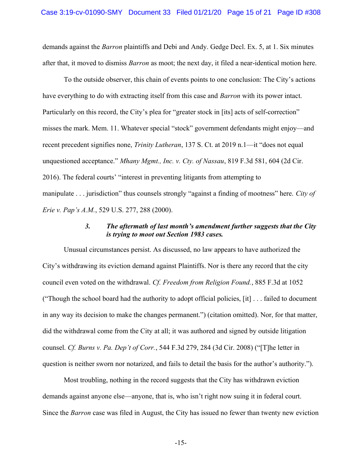demands against the *Barron* plaintiffs and Debi and Andy. Gedge Decl. Ex. 5, at 1. Six minutes after that, it moved to dismiss *Barron* as moot; the next day, it filed a near-identical motion here.

To the outside observer, this chain of events points to one conclusion: The City's actions have everything to do with extracting itself from this case and *Barron* with its power intact. Particularly on this record, the City's plea for "greater stock in [its] acts of self-correction" misses the mark. Mem. 11. Whatever special "stock" government defendants might enjoy—and recent precedent signifies none, *Trinity Lutheran*, 137 S. Ct. at 2019 n.1—it "does not equal unquestioned acceptance." Mhany Mgmt., Inc. v. Cty. of Nassau, 819 F.3d 581, 604 (2d Cir. 2016). The federal courts' "interest in preventing litigants from attempting to manipulate . . . jurisdiction" thus counsels strongly "against a finding of mootness" here. City of Erie v. Pap's A.M., 529 U.S. 277, 288 (2000).

### 3. The aftermath of last month's amendment further suggests that the City is trying to moot out Section 1983 cases.

Unusual circumstances persist. As discussed, no law appears to have authorized the City's withdrawing its eviction demand against Plaintiffs. Nor is there any record that the city council even voted on the withdrawal. Cf. Freedom from Religion Found., 885 F.3d at 1052 ("Though the school board had the authority to adopt official policies, [it] . . . failed to document in any way its decision to make the changes permanent.") (citation omitted). Nor, for that matter, did the withdrawal come from the City at all; it was authored and signed by outside litigation counsel. Cf. Burns v. Pa. Dep't of Corr., 544 F.3d 279, 284 (3d Cir. 2008) ("[T]he letter in question is neither sworn nor notarized, and fails to detail the basis for the author's authority.").

Most troubling, nothing in the record suggests that the City has withdrawn eviction demands against anyone else—anyone, that is, who isn't right now suing it in federal court. Since the Barron case was filed in August, the City has issued no fewer than twenty new eviction

-15-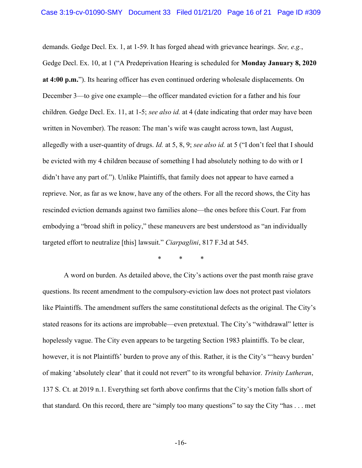demands. Gedge Decl. Ex. 1, at 1-59. It has forged ahead with grievance hearings. See, e.g., Gedge Decl. Ex. 10, at 1 ("A Predeprivation Hearing is scheduled for Monday January 8, 2020 at 4:00 p.m."). Its hearing officer has even continued ordering wholesale displacements. On December 3—to give one example—the officer mandated eviction for a father and his four children. Gedge Decl. Ex. 11, at 1-5; see also id. at 4 (date indicating that order may have been written in November). The reason: The man's wife was caught across town, last August, allegedly with a user-quantity of drugs. Id. at 5, 8, 9; see also id. at 5 ("I don't feel that I should be evicted with my 4 children because of something I had absolutely nothing to do with or I didn't have any part of."). Unlike Plaintiffs, that family does not appear to have earned a reprieve. Nor, as far as we know, have any of the others. For all the record shows, the City has rescinded eviction demands against two families alone—the ones before this Court. Far from embodying a "broad shift in policy," these maneuvers are best understood as "an individually targeted effort to neutralize [this] lawsuit." Ciarpaglini, 817 F.3d at 545.

\* \* \*

A word on burden. As detailed above, the City's actions over the past month raise grave questions. Its recent amendment to the compulsory-eviction law does not protect past violators like Plaintiffs. The amendment suffers the same constitutional defects as the original. The City's stated reasons for its actions are improbable—even pretextual. The City's "withdrawal" letter is hopelessly vague. The City even appears to be targeting Section 1983 plaintiffs. To be clear, however, it is not Plaintiffs' burden to prove any of this. Rather, it is the City's "'heavy burden' of making 'absolutely clear' that it could not revert" to its wrongful behavior. Trinity Lutheran, 137 S. Ct. at 2019 n.1. Everything set forth above confirms that the City's motion falls short of that standard. On this record, there are "simply too many questions" to say the City "has . . . met

-16-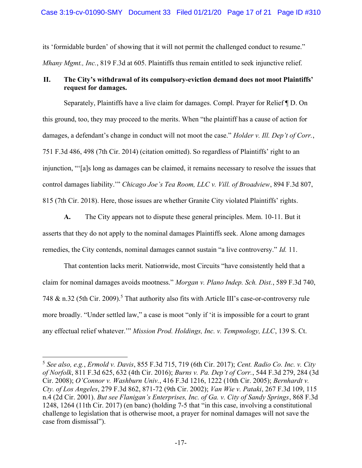its 'formidable burden' of showing that it will not permit the challenged conduct to resume." Mhany Mgmt., Inc., 819 F.3d at 605. Plaintiffs thus remain entitled to seek injunctive relief.

# II. The City's withdrawal of its compulsory-eviction demand does not moot Plaintiffs' request for damages.

Separately, Plaintiffs have a live claim for damages. Compl. Prayer for Relief ¶ D. On this ground, too, they may proceed to the merits. When "the plaintiff has a cause of action for damages, a defendant's change in conduct will not moot the case." *Holder v. Ill. Dep't of Corr.*, 751 F.3d 486, 498 (7th Cir. 2014) (citation omitted). So regardless of Plaintiffs' right to an injunction, "'[a]s long as damages can be claimed, it remains necessary to resolve the issues that control damages liability.'" Chicago Joe's Tea Room, LLC v. Vill. of Broadview, 894 F.3d 807, 815 (7th Cir. 2018). Here, those issues are whether Granite City violated Plaintiffs' rights.

A. The City appears not to dispute these general principles. Mem. 10-11. But it asserts that they do not apply to the nominal damages Plaintiffs seek. Alone among damages remedies, the City contends, nominal damages cannot sustain "a live controversy." *Id.* 11.

That contention lacks merit. Nationwide, most Circuits "have consistently held that a claim for nominal damages avoids mootness." Morgan v. Plano Indep. Sch. Dist., 589 F.3d 740, 748 & n.32 (5th Cir. 2009).<sup>5</sup> That authority also fits with Article III's case-or-controversy rule more broadly. "Under settled law," a case is moot "only if 'it is impossible for a court to grant any effectual relief whatever.'" Mission Prod. Holdings, Inc. v. Tempnology, LLC, 139 S. Ct.

<sup>5</sup> See also, e.g., Ermold v. Davis, 855 F.3d 715, 719 (6th Cir. 2017); Cent. Radio Co. Inc. v. City of Norfolk, 811 F.3d 625, 632 (4th Cir. 2016); Burns v. Pa. Dep't of Corr., 544 F.3d 279, 284 (3d Cir. 2008); O'Connor v. Washburn Univ., 416 F.3d 1216, 1222 (10th Cir. 2005); Bernhardt v. Cty. of Los Angeles, 279 F.3d 862, 871-72 (9th Cir. 2002); Van Wie v. Pataki, 267 F.3d 109, 115 n.4 (2d Cir. 2001). But see Flanigan's Enterprises, Inc. of Ga. v. City of Sandy Springs, 868 F.3d 1248, 1264 (11th Cir. 2017) (en banc) (holding 7-5 that "in this case, involving a constitutional challenge to legislation that is otherwise moot, a prayer for nominal damages will not save the case from dismissal").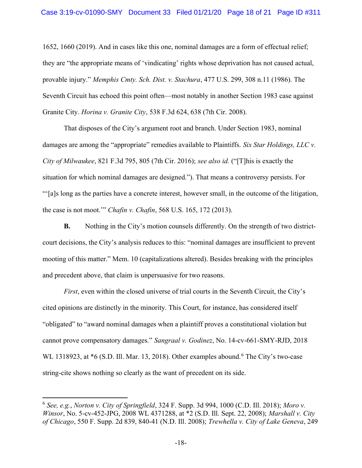1652, 1660 (2019). And in cases like this one, nominal damages are a form of effectual relief; they are "the appropriate means of 'vindicating' rights whose deprivation has not caused actual, provable injury." Memphis Cmty. Sch. Dist. v. Stachura, 477 U.S. 299, 308 n.11 (1986). The Seventh Circuit has echoed this point often—most notably in another Section 1983 case against Granite City. Horina v. Granite City, 538 F.3d 624, 638 (7th Cir. 2008).

That disposes of the City's argument root and branch. Under Section 1983, nominal damages are among the "appropriate" remedies available to Plaintiffs. Six Star Holdings, LLC v. City of Milwaukee, 821 F.3d 795, 805 (7th Cir. 2016); see also id. ("[T]his is exactly the situation for which nominal damages are designed."). That means a controversy persists. For "'[a]s long as the parties have a concrete interest, however small, in the outcome of the litigation, the case is not moot.'" Chafin v. Chafin, 568 U.S. 165, 172 (2013).

B. Nothing in the City's motion counsels differently. On the strength of two districtcourt decisions, the City's analysis reduces to this: "nominal damages are insufficient to prevent mooting of this matter." Mem. 10 (capitalizations altered). Besides breaking with the principles and precedent above, that claim is unpersuasive for two reasons.

First, even within the closed universe of trial courts in the Seventh Circuit, the City's cited opinions are distinctly in the minority. This Court, for instance, has considered itself "obligated" to "award nominal damages when a plaintiff proves a constitutional violation but cannot prove compensatory damages." Sangraal v. Godinez, No. 14-cv-661-SMY-RJD, 2018 WL 1318923, at \*6 (S.D. Ill. Mar. 13, 2018). Other examples abound.<sup>6</sup> The City's two-case string-cite shows nothing so clearly as the want of precedent on its side.

 $6$  See, e.g., Norton v. City of Springfield, 324 F. Supp. 3d 994, 1000 (C.D. Ill. 2018); Moro v. Winsor, No. 5-cv-452-JPG, 2008 WL 4371288, at \*2 (S.D. Ill. Sept. 22, 2008); Marshall v. City of Chicago, 550 F. Supp. 2d 839, 840-41 (N.D. Ill. 2008); Trewhella v. City of Lake Geneva, 249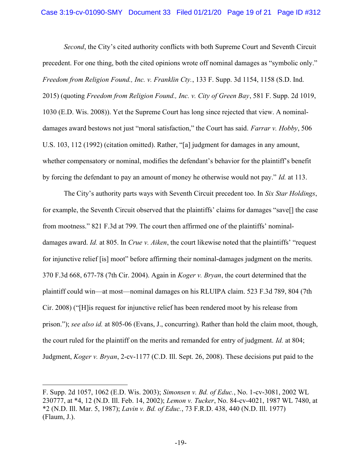Second, the City's cited authority conflicts with both Supreme Court and Seventh Circuit precedent. For one thing, both the cited opinions wrote off nominal damages as "symbolic only." Freedom from Religion Found., Inc. v. Franklin Cty., 133 F. Supp. 3d 1154, 1158 (S.D. Ind. 2015) (quoting Freedom from Religion Found., Inc. v. City of Green Bay, 581 F. Supp. 2d 1019, 1030 (E.D. Wis. 2008)). Yet the Supreme Court has long since rejected that view. A nominaldamages award bestows not just "moral satisfaction," the Court has said. Farrar v. Hobby, 506 U.S. 103, 112 (1992) (citation omitted). Rather, "[a] judgment for damages in any amount, whether compensatory or nominal, modifies the defendant's behavior for the plaintiff's benefit by forcing the defendant to pay an amount of money he otherwise would not pay." Id. at 113.

The City's authority parts ways with Seventh Circuit precedent too. In Six Star Holdings, for example, the Seventh Circuit observed that the plaintiffs' claims for damages "save[] the case from mootness." 821 F.3d at 799. The court then affirmed one of the plaintiffs' nominaldamages award. Id. at 805. In Crue v. Aiken, the court likewise noted that the plaintiffs' "request" for injunctive relief [is] moot" before affirming their nominal-damages judgment on the merits. 370 F.3d 668, 677-78 (7th Cir. 2004). Again in Koger v. Bryan, the court determined that the plaintiff could win—at most—nominal damages on his RLUIPA claim. 523 F.3d 789, 804 (7th Cir. 2008) ("[H]is request for injunctive relief has been rendered moot by his release from prison."); see also id. at 805-06 (Evans, J., concurring). Rather than hold the claim moot, though, the court ruled for the plaintiff on the merits and remanded for entry of judgment. Id. at 804; Judgment, Koger v. Bryan, 2-cv-1177 (C.D. Ill. Sept. 26, 2008). These decisions put paid to the

F. Supp. 2d 1057, 1062 (E.D. Wis. 2003); Simonsen v. Bd. of Educ., No. 1-cv-3081, 2002 WL 230777, at \*4, 12 (N.D. Ill. Feb. 14, 2002); Lemon v. Tucker, No. 84-cv-4021, 1987 WL 7480, at \*2 (N.D. Ill. Mar. 5, 1987); Lavin v. Bd. of Educ., 73 F.R.D. 438, 440 (N.D. Ill. 1977) (Flaum, J.).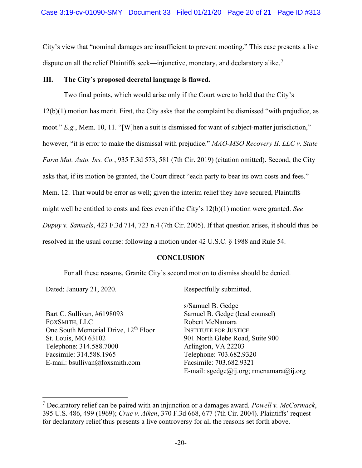City's view that "nominal damages are insufficient to prevent mooting." This case presents a live dispute on all the relief Plaintiffs seek—injunctive, monetary, and declaratory alike.<sup>7</sup>

# III. The City's proposed decretal language is flawed.

Two final points, which would arise only if the Court were to hold that the City's 12(b)(1) motion has merit. First, the City asks that the complaint be dismissed "with prejudice, as moot." E.g., Mem. 10, 11. "[W]hen a suit is dismissed for want of subject-matter jurisdiction," however, "it is error to make the dismissal with prejudice." MAO-MSO Recovery II, LLC v. State Farm Mut. Auto. Ins. Co., 935 F.3d 573, 581 (7th Cir. 2019) (citation omitted). Second, the City asks that, if its motion be granted, the Court direct "each party to bear its own costs and fees." Mem. 12. That would be error as well; given the interim relief they have secured, Plaintiffs might well be entitled to costs and fees even if the City's 12(b)(1) motion were granted. See Dupuy v. Samuels, 423 F.3d 714, 723 n.4 (7th Cir. 2005). If that question arises, it should thus be resolved in the usual course: following a motion under 42 U.S.C. § 1988 and Rule 54.

# **CONCLUSION**

For all these reasons, Granite City's second motion to dismiss should be denied.

Dated: January 21, 2020.

Bart C. Sullivan, #6198093 FOXSMITH, LLC One South Memorial Drive, 12<sup>th</sup> Floor St. Louis, MO 63102 Telephone: 314.588.7000 Facsimile: 314.588.1965 E-mail: bsullivan@foxsmith.com

Respectfully submitted,

s/Samuel B. Gedge . Samuel B. Gedge (lead counsel) Robert McNamara INSTITUTE FOR JUSTICE 901 North Glebe Road, Suite 900 Arlington, VA 22203 Telephone: 703.682.9320 Facsimile: 703.682.9321 E-mail:  $\text{speedge}(\widehat{a}$ ij.org; rmcnamara $(\widehat{a}$ ij.org

<sup>&</sup>lt;sup>7</sup> Declaratory relief can be paired with an injunction or a damages award. Powell v. McCormack, 395 U.S. 486, 499 (1969); Crue v. Aiken, 370 F.3d 668, 677 (7th Cir. 2004). Plaintiffs' request for declaratory relief thus presents a live controversy for all the reasons set forth above.